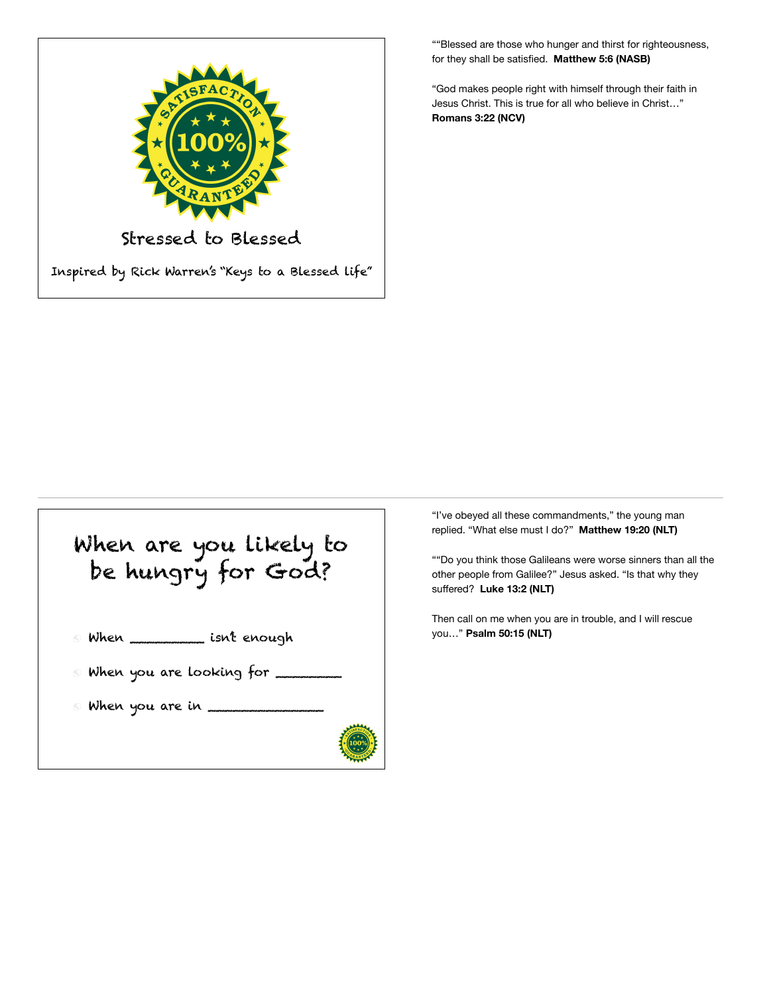

""Blessed are those who hunger and thirst for righteousness, for they shall be satisfied. **Matthew 5:6 (NASB)** 

"God makes people right with himself through their faith in Jesus Christ. This is true for all who believe in Christ…" **Romans 3:22 (NCV)** 



"I've obeyed all these commandments," the young man replied. "What else must I do?" **Matthew 19:20 (NLT)** 

""Do you think those Galileans were worse sinners than all the other people from Galilee?" Jesus asked. "Is that why they suffered? **Luke 13:2 (NLT)** 

Then call on me when you are in trouble, and I will rescue you…" **Psalm 50:15 (NLT)**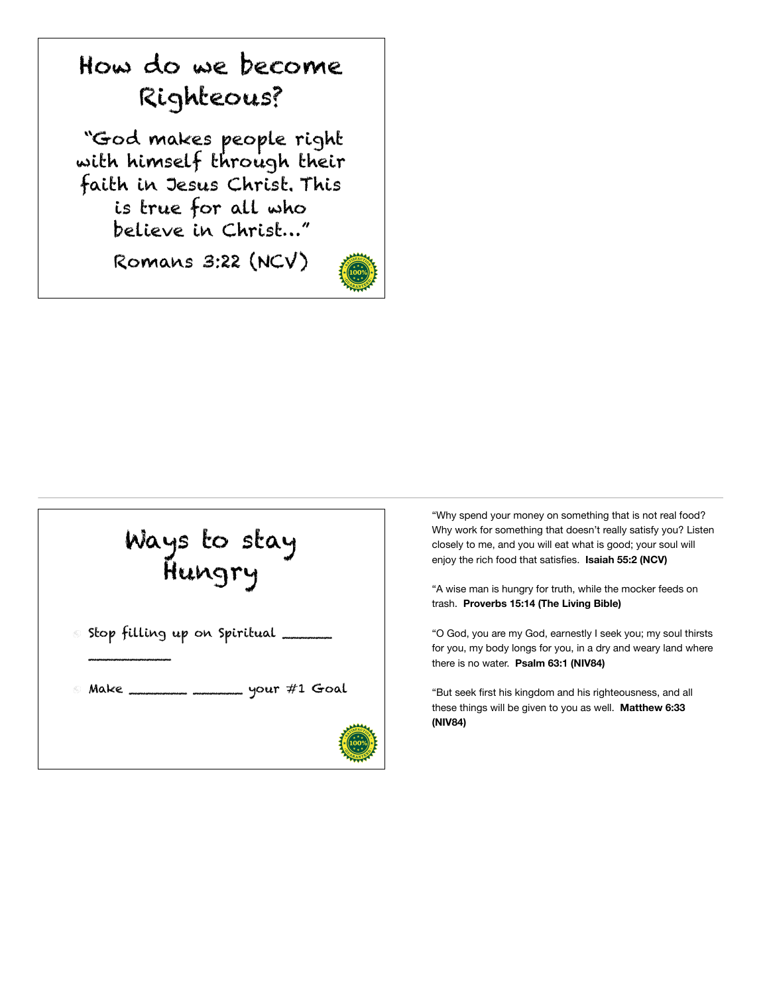





"Why spend your money on something that is not real food? Why work for something that doesn't really satisfy you? Listen closely to me, and you will eat what is good; your soul will enjoy the rich food that satisfies. **Isaiah 55:2 (NCV)** 

"A wise man is hungry for truth, while the mocker feeds on trash. **Proverbs 15:14 (The Living Bible)** 

"O God, you are my God, earnestly I seek you; my soul thirsts for you, my body longs for you, in a dry and weary land where there is no water. **Psalm 63:1 (NIV84)** 

"But seek first his kingdom and his righteousness, and all these things will be given to you as well. **Matthew 6:33 (NIV84)**